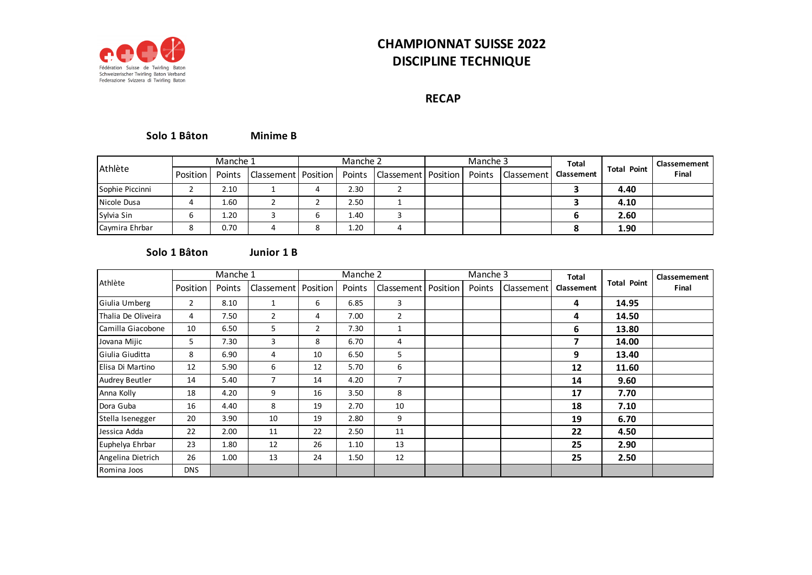

# **CHAMPIONNAT SUISSE 2022 DISCIPLINE TECHNIQUE**

## **RECAP**

#### **Minime B Solo 1 Bâton**

|                 |          | Manche 1 |   | Manche 2 |                                                                          | Manche 3 |                         | Total |                    | Classemement |
|-----------------|----------|----------|---|----------|--------------------------------------------------------------------------|----------|-------------------------|-------|--------------------|--------------|
| <b>Athlète</b>  | Position |          |   |          | Points   Classement   Position   Points   Classement   Position   Points |          | Classement   Classement |       | <b>Total Point</b> | Final        |
| Sophie Piccinni |          | 2.10     | 4 | 2.30     |                                                                          |          |                         |       | 4.40               |              |
| Nicole Dusa     |          | 1.60     |   | 2.50     |                                                                          |          |                         |       | 4.10               |              |
| Sylvia Sin      |          | 1.20     |   | 1.40     |                                                                          |          |                         |       | 2.60               |              |
| Caymira Ehrbar  |          | 0.70     |   | 1.20     |                                                                          |          |                         |       | 1.90               |              |

#### **Junior 1 B Solo 1 Bâton**

|                    |            | Manche 1 |                       |                | Manche 2 |                |          | Manche 3 |            | <b>Total</b>      |                    | Classemement |
|--------------------|------------|----------|-----------------------|----------------|----------|----------------|----------|----------|------------|-------------------|--------------------|--------------|
| Athlète            | Position   | Points   | Classement   Position |                | Points   | Classement     | Position | Points   | Classement | <b>Classement</b> | <b>Total Point</b> | Final        |
| Giulia Umberg      | 2          | 8.10     | 1                     | 6              | 6.85     | 3              |          |          |            | 4                 | 14.95              |              |
| Thalia De Oliveira | 4          | 7.50     | $\overline{2}$        | 4              | 7.00     | $\overline{2}$ |          |          |            | 4                 | 14.50              |              |
| Camilla Giacobone  | 10         | 6.50     | 5                     | $\overline{2}$ | 7.30     | 1              |          |          |            | 6                 | 13.80              |              |
| Jovana Mijic       | 5          | 7.30     | 3                     | 8              | 6.70     | 4              |          |          |            | 7                 | 14.00              |              |
| Giulia Giuditta    | 8          | 6.90     | 4                     | 10             | 6.50     | 5              |          |          |            | 9                 | 13.40              |              |
| Elisa Di Martino   | 12         | 5.90     | 6                     | 12             | 5.70     | 6              |          |          |            | 12                | 11.60              |              |
| Audrey Beutler     | 14         | 5.40     | $\overline{7}$        | 14             | 4.20     | $\overline{7}$ |          |          |            | 14                | 9.60               |              |
| Anna Kolly         | 18         | 4.20     | 9                     | 16             | 3.50     | 8              |          |          |            | 17                | 7.70               |              |
| Dora Guba          | 16         | 4.40     | 8                     | 19             | 2.70     | 10             |          |          |            | 18                | 7.10               |              |
| Stella Isenegger   | 20         | 3.90     | 10                    | 19             | 2.80     | 9              |          |          |            | 19                | 6.70               |              |
| Jessica Adda       | 22         | 2.00     | 11                    | 22             | 2.50     | 11             |          |          |            | 22                | 4.50               |              |
| Euphelya Ehrbar    | 23         | 1.80     | 12                    | 26             | 1.10     | 13             |          |          |            | 25                | 2.90               |              |
| Angelina Dietrich  | 26         | 1.00     | 13                    | 24             | 1.50     | 12             |          |          |            | 25                | 2.50               |              |
| Romina Joos        | <b>DNS</b> |          |                       |                |          |                |          |          |            |                   |                    |              |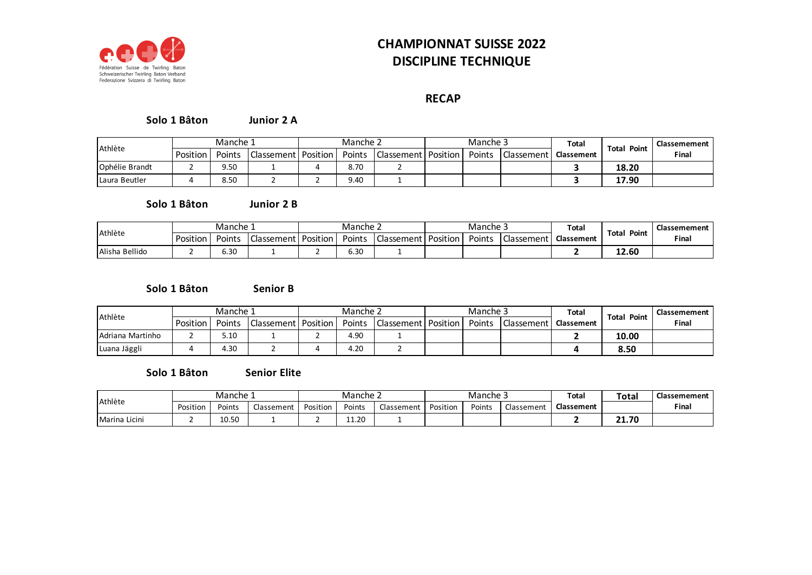

# **CHAMPIONNAT SUISSE 2022 DISCIPLINE TECHNIQUE**

### **RECAP**

#### **Junior 2 A Solo 1 Bâton**

| Athlète        | Manche 1 |        |                       | Manche 2 |        |                         | Manche 3 |            | <b>Total</b>      |                    | Classemement |
|----------------|----------|--------|-----------------------|----------|--------|-------------------------|----------|------------|-------------------|--------------------|--------------|
|                | Position | Points | Classement   Position |          | Points | l Classement   Position | Points   | Classement | <b>Classement</b> | <b>Total Point</b> | Final        |
| Ophélie Brandt |          | 9.50   |                       |          | 8.70   |                         |          |            |                   | 18.20              |              |
| Laura Beutler  |          | 3.50   |                       |          | 9.40   |                         |          |            |                   | 17.90              |              |

#### **Junior 2 B Solo 1 Bâton**

| Athlète        |          | Manche 1 |            | Manche 2 |        |                             | Manche 3 |        |            | Total      |                       | Classemement |
|----------------|----------|----------|------------|----------|--------|-----------------------------|----------|--------|------------|------------|-----------------------|--------------|
|                | Position | Points   | Classement | Position | Points | <sup>'  </sup> Classement د | Position | Points | Classement | Classement | <b>Total</b><br>Point | Final        |
| Alisha Bellido |          | 5.30     |            |          | 6.30   |                             |          |        |            |            | 12.60                 |              |

#### **Senior B Solo 1 Bâton**

| Athlète          | Manche 1 |        |                       | Manche 2 |        |                       | Manche 3 |            | <b>Total</b>      | <b>Total Point</b> | Classemement |
|------------------|----------|--------|-----------------------|----------|--------|-----------------------|----------|------------|-------------------|--------------------|--------------|
|                  | Position | Points | Classement   Position |          | Points | Classement   Position | Points   | Classement | <b>Classement</b> |                    | Final        |
| Adriana Martinho |          | 5.10   |                       |          | 4.90   |                       |          |            |                   | 10.00              |              |
| Luana Jäggli     |          | 4.30   |                       |          | 4.20   |                       |          |            |                   | 8.50               |              |

**Senior Elite Solo 1 Bâton**

| Athlète       |          | Manche 1     |            |          | Manche 2 |            |          | Manche 3 |            | <b>Total</b>      | <b>Total</b> | Classemement |
|---------------|----------|--------------|------------|----------|----------|------------|----------|----------|------------|-------------------|--------------|--------------|
|               | Position | Points       | Classement | Position | Points   | Classement | Position | Points   | Classement | <b>Classement</b> |              | Final        |
| Marina Licini |          | 10F<br>JU.JU |            |          | 11.20    |            |          |          |            |                   | 21.70        |              |